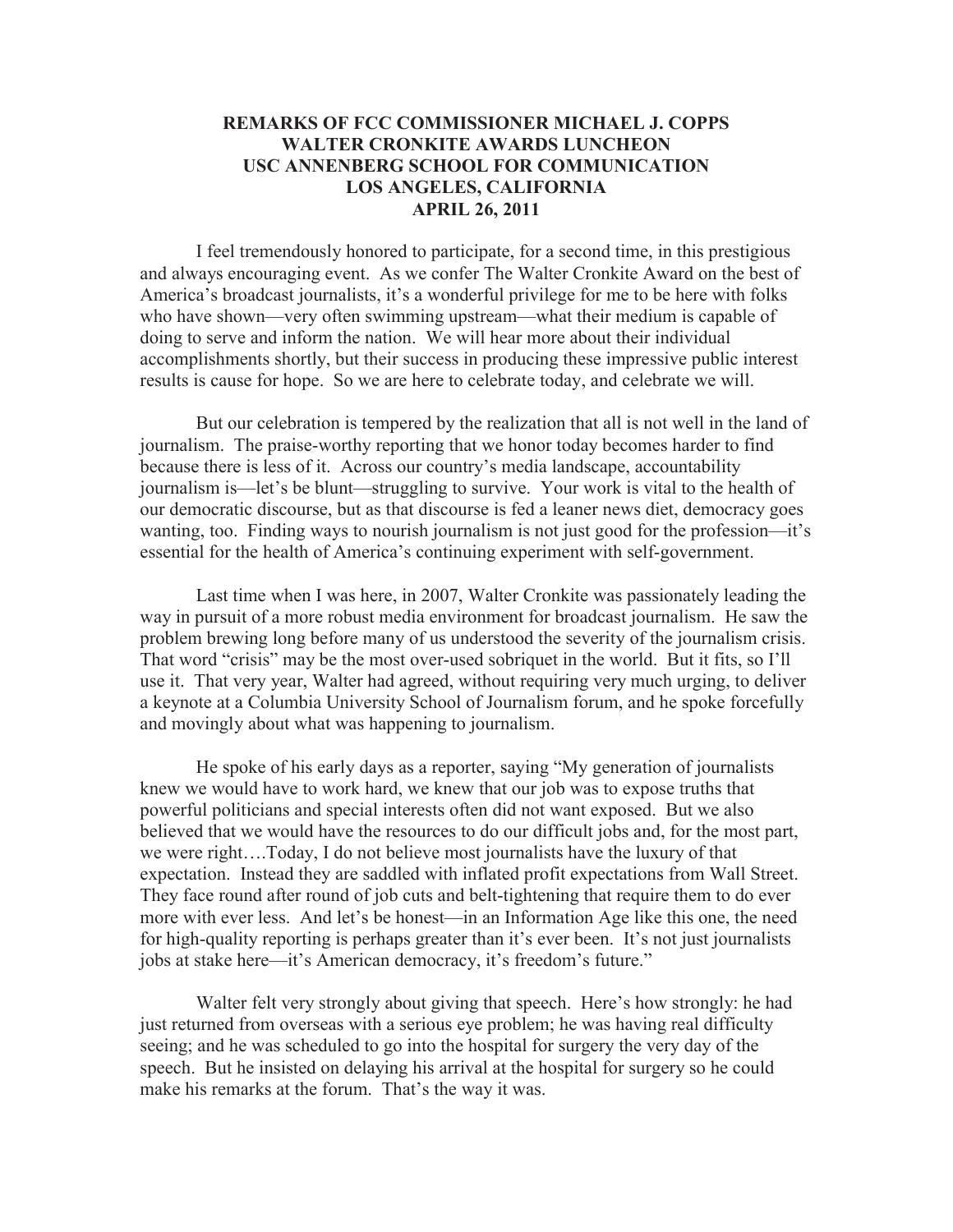## **REMARKS OF FCC COMMISSIONER MICHAEL J. COPPS WALTER CRONKITE AWARDS LUNCHEON USC ANNENBERG SCHOOL FOR COMMUNICATION LOS ANGELES, CALIFORNIA APRIL 26, 2011**

I feel tremendously honored to participate, for a second time, in this prestigious and always encouraging event. As we confer The Walter Cronkite Award on the best of America's broadcast journalists, it's a wonderful privilege for me to be here with folks who have shown—very often swimming upstream—what their medium is capable of doing to serve and inform the nation. We will hear more about their individual accomplishments shortly, but their success in producing these impressive public interest results is cause for hope. So we are here to celebrate today, and celebrate we will.

But our celebration is tempered by the realization that all is not well in the land of journalism. The praise-worthy reporting that we honor today becomes harder to find because there is less of it. Across our country's media landscape, accountability journalism is—let's be blunt—struggling to survive. Your work is vital to the health of our democratic discourse, but as that discourse is fed a leaner news diet, democracy goes wanting, too. Finding ways to nourish journalism is not just good for the profession—it's essential for the health of America's continuing experiment with self-government.

Last time when I was here, in 2007, Walter Cronkite was passionately leading the way in pursuit of a more robust media environment for broadcast journalism. He saw the problem brewing long before many of us understood the severity of the journalism crisis. That word "crisis" may be the most over-used sobriquet in the world. But it fits, so I'll use it. That very year, Walter had agreed, without requiring very much urging, to deliver a keynote at a Columbia University School of Journalism forum, and he spoke forcefully and movingly about what was happening to journalism.

He spoke of his early days as a reporter, saying "My generation of journalists knew we would have to work hard, we knew that our job was to expose truths that powerful politicians and special interests often did not want exposed. But we also believed that we would have the resources to do our difficult jobs and, for the most part, we were right….Today, I do not believe most journalists have the luxury of that expectation. Instead they are saddled with inflated profit expectations from Wall Street. They face round after round of job cuts and belt-tightening that require them to do ever more with ever less. And let's be honest—in an Information Age like this one, the need for high-quality reporting is perhaps greater than it's ever been. It's not just journalists jobs at stake here—it's American democracy, it's freedom's future."

Walter felt very strongly about giving that speech. Here's how strongly: he had just returned from overseas with a serious eye problem; he was having real difficulty seeing; and he was scheduled to go into the hospital for surgery the very day of the speech. But he insisted on delaying his arrival at the hospital for surgery so he could make his remarks at the forum. That's the way it was.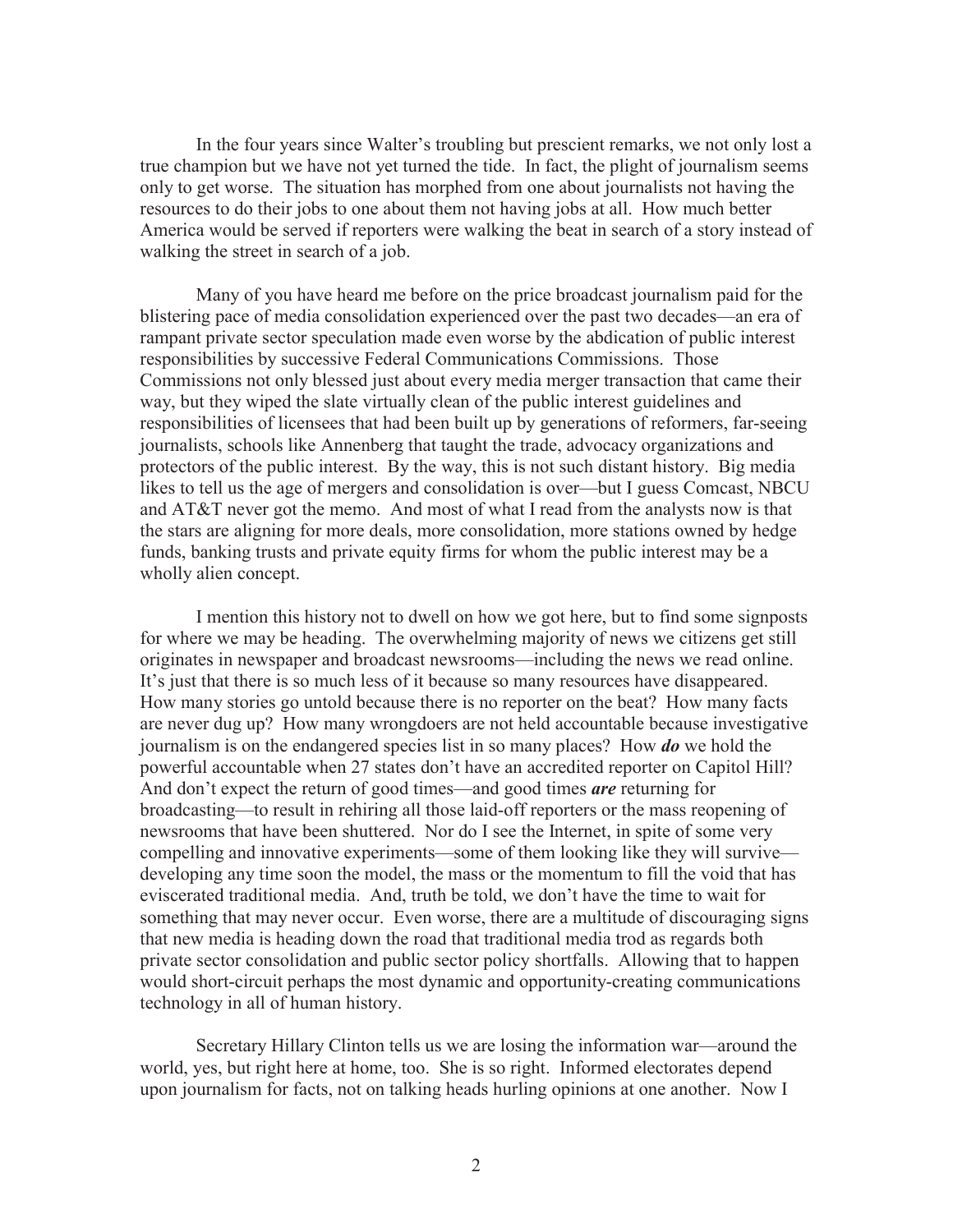In the four years since Walter's troubling but prescient remarks, we not only lost a true champion but we have not yet turned the tide. In fact, the plight of journalism seems only to get worse. The situation has morphed from one about journalists not having the resources to do their jobs to one about them not having jobs at all. How much better America would be served if reporters were walking the beat in search of a story instead of walking the street in search of a job.

Many of you have heard me before on the price broadcast journalism paid for the blistering pace of media consolidation experienced over the past two decades—an era of rampant private sector speculation made even worse by the abdication of public interest responsibilities by successive Federal Communications Commissions. Those Commissions not only blessed just about every media merger transaction that came their way, but they wiped the slate virtually clean of the public interest guidelines and responsibilities of licensees that had been built up by generations of reformers, far-seeing journalists, schools like Annenberg that taught the trade, advocacy organizations and protectors of the public interest. By the way, this is not such distant history. Big media likes to tell us the age of mergers and consolidation is over—but I guess Comcast, NBCU and AT&T never got the memo. And most of what I read from the analysts now is that the stars are aligning for more deals, more consolidation, more stations owned by hedge funds, banking trusts and private equity firms for whom the public interest may be a wholly alien concept.

I mention this history not to dwell on how we got here, but to find some signposts for where we may be heading. The overwhelming majority of news we citizens get still originates in newspaper and broadcast newsrooms—including the news we read online. It's just that there is so much less of it because so many resources have disappeared. How many stories go untold because there is no reporter on the beat? How many facts are never dug up? How many wrongdoers are not held accountable because investigative journalism is on the endangered species list in so many places? How *do* we hold the powerful accountable when 27 states don't have an accredited reporter on Capitol Hill? And don't expect the return of good times—and good times *are* returning for broadcasting—to result in rehiring all those laid-off reporters or the mass reopening of newsrooms that have been shuttered. Nor do I see the Internet, in spite of some very compelling and innovative experiments—some of them looking like they will survive developing any time soon the model, the mass or the momentum to fill the void that has eviscerated traditional media. And, truth be told, we don't have the time to wait for something that may never occur. Even worse, there are a multitude of discouraging signs that new media is heading down the road that traditional media trod as regards both private sector consolidation and public sector policy shortfalls. Allowing that to happen would short-circuit perhaps the most dynamic and opportunity-creating communications technology in all of human history.

Secretary Hillary Clinton tells us we are losing the information war—around the world, yes, but right here at home, too. She is so right. Informed electorates depend upon journalism for facts, not on talking heads hurling opinions at one another. Now I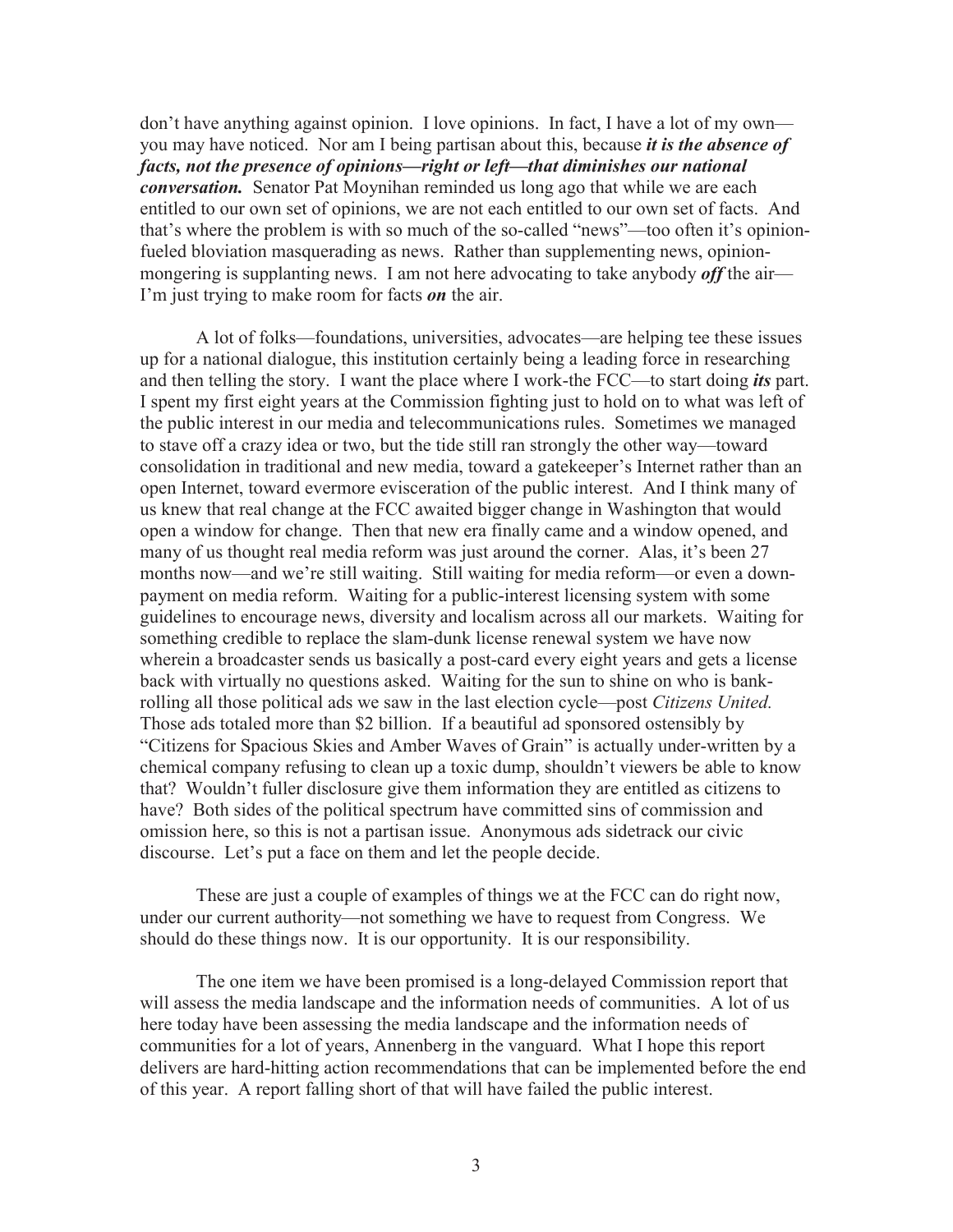don't have anything against opinion. I love opinions. In fact, I have a lot of my own you may have noticed. Nor am I being partisan about this, because *it is the absence of facts, not the presence of opinions—right or left—that diminishes our national conversation.* Senator Pat Moynihan reminded us long ago that while we are each entitled to our own set of opinions, we are not each entitled to our own set of facts. And that's where the problem is with so much of the so-called "news"—too often it's opinionfueled bloviation masquerading as news. Rather than supplementing news, opinionmongering is supplanting news. I am not here advocating to take anybody *off* the air— I'm just trying to make room for facts *on* the air.

A lot of folks—foundations, universities, advocates—are helping tee these issues up for a national dialogue, this institution certainly being a leading force in researching and then telling the story. I want the place where I work-the FCC—to start doing *its* part. I spent my first eight years at the Commission fighting just to hold on to what was left of the public interest in our media and telecommunications rules. Sometimes we managed to stave off a crazy idea or two, but the tide still ran strongly the other way—toward consolidation in traditional and new media, toward a gatekeeper's Internet rather than an open Internet, toward evermore evisceration of the public interest. And I think many of us knew that real change at the FCC awaited bigger change in Washington that would open a window for change. Then that new era finally came and a window opened, and many of us thought real media reform was just around the corner. Alas, it's been 27 months now—and we're still waiting. Still waiting for media reform—or even a downpayment on media reform. Waiting for a public-interest licensing system with some guidelines to encourage news, diversity and localism across all our markets. Waiting for something credible to replace the slam-dunk license renewal system we have now wherein a broadcaster sends us basically a post-card every eight years and gets a license back with virtually no questions asked. Waiting for the sun to shine on who is bankrolling all those political ads we saw in the last election cycle—post *Citizens United.*  Those ads totaled more than \$2 billion. If a beautiful ad sponsored ostensibly by "Citizens for Spacious Skies and Amber Waves of Grain" is actually under-written by a chemical company refusing to clean up a toxic dump, shouldn't viewers be able to know that? Wouldn't fuller disclosure give them information they are entitled as citizens to have? Both sides of the political spectrum have committed sins of commission and omission here, so this is not a partisan issue. Anonymous ads sidetrack our civic discourse. Let's put a face on them and let the people decide.

These are just a couple of examples of things we at the FCC can do right now, under our current authority—not something we have to request from Congress. We should do these things now. It is our opportunity. It is our responsibility.

The one item we have been promised is a long-delayed Commission report that will assess the media landscape and the information needs of communities. A lot of us here today have been assessing the media landscape and the information needs of communities for a lot of years, Annenberg in the vanguard. What I hope this report delivers are hard-hitting action recommendations that can be implemented before the end of this year. A report falling short of that will have failed the public interest.